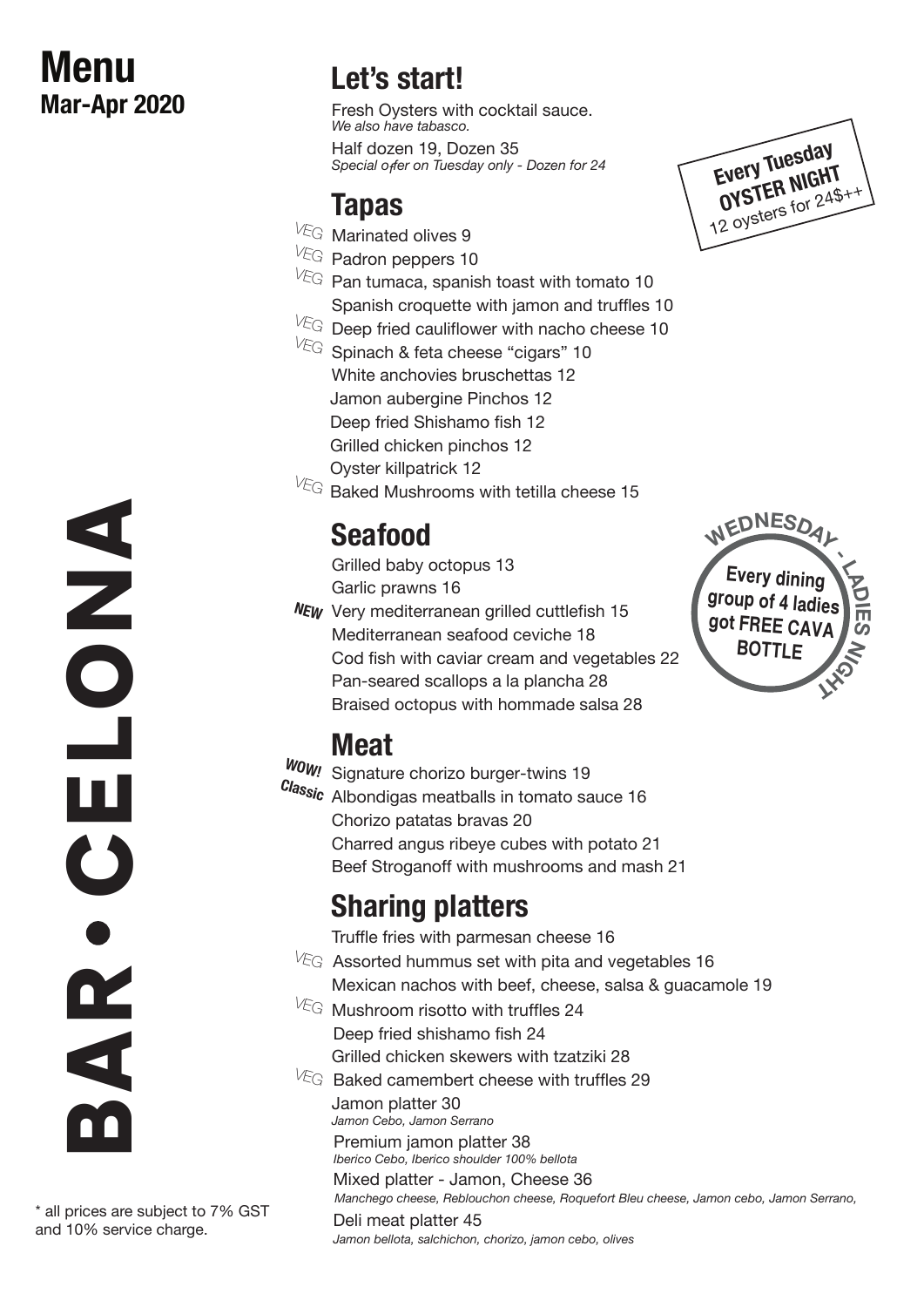# **Menu Mar-Apr 2020**

# **Let's start!**

Fresh Oysters with cocktail sauce. *We also have tabasco.*

Half dozen 19, Dozen 35 *Special offer on Tuesday only - Dozen for 24*

#### **Tapas**

- $V_{\text{EG}}$  Marinated olives 9
- VEG Padron peppers 10
- $V_{\text{EG}}$  Pan tumaca, spanish toast with tomato 10 Spanish croquette with jamon and truffles 10
- $V_{\text{EG}}$  Deep fried cauliflower with nacho cheese 10
- $V_{\text{EG}}$  Spinach & feta cheese "cigars" 10 White anchovies bruschettas 12 Jamon aubergine Pinchos 12 Deep fried Shishamo fish 12 Grilled chicken pinchos 12 Oyster killpatrick 12
- $V_{\text{EG}}$  Baked Mushrooms with tetilla cheese 15

# **Seafood**

Grilled baby octopus 13 Garlic prawns 16

Very mediterranean grilled cuttlefish 15 **NEW** Mediterranean seafood ceviche 18 Cod fish with caviar cream and vegetables 22 Pan-seared scallops a la plancha 28 Braised octopus with hommade salsa 28

# **Meat**

**WOW!** Signature chorizo burger-twins 19 **Classic** Albondigas meatballs in tomato sauce 16 Chorizo patatas bravas 20 Charred angus ribeye cubes with potato 21 Beef Stroganoff with mushrooms and mash 21

# **Sharing platters**

Truffle fries with parmesan cheese 16

- Mexican nachos with beef, cheese, salsa & guacamole 19  $V_{\text{EG}}$  Mushroom risotto with truffles 24  $V_{\text{EG}}$  Assorted hummus set with pita and vegetables 16
- Deep fried shishamo fish 24 Grilled chicken skewers with tzatziki 28
- $\sqrt{k}$ G Baked camembert cheese with truffles 29 Jamon platter 30

*Jamon Cebo, Jamon Serrano*

Premium jamon platter 38 *Iberico Cebo, Iberico shoulder 100% bellota*

Mixed platter - Jamon, Cheese 36 *Manchego cheese, Reblouchon cheese, Roquefort Bleu cheese, Jamon cebo, Jamon Serrano,* 

Deli meat platter 45 *Jamon bellota, salchichon, chorizo, jamon cebo, olives*



**Every dining group of 4 ladies got FREE CAVA BOTTLE**

**-**

**LADIE S N GI H** 

 $M$ **EDNESD** 



\* all prices are subject to 7% GST